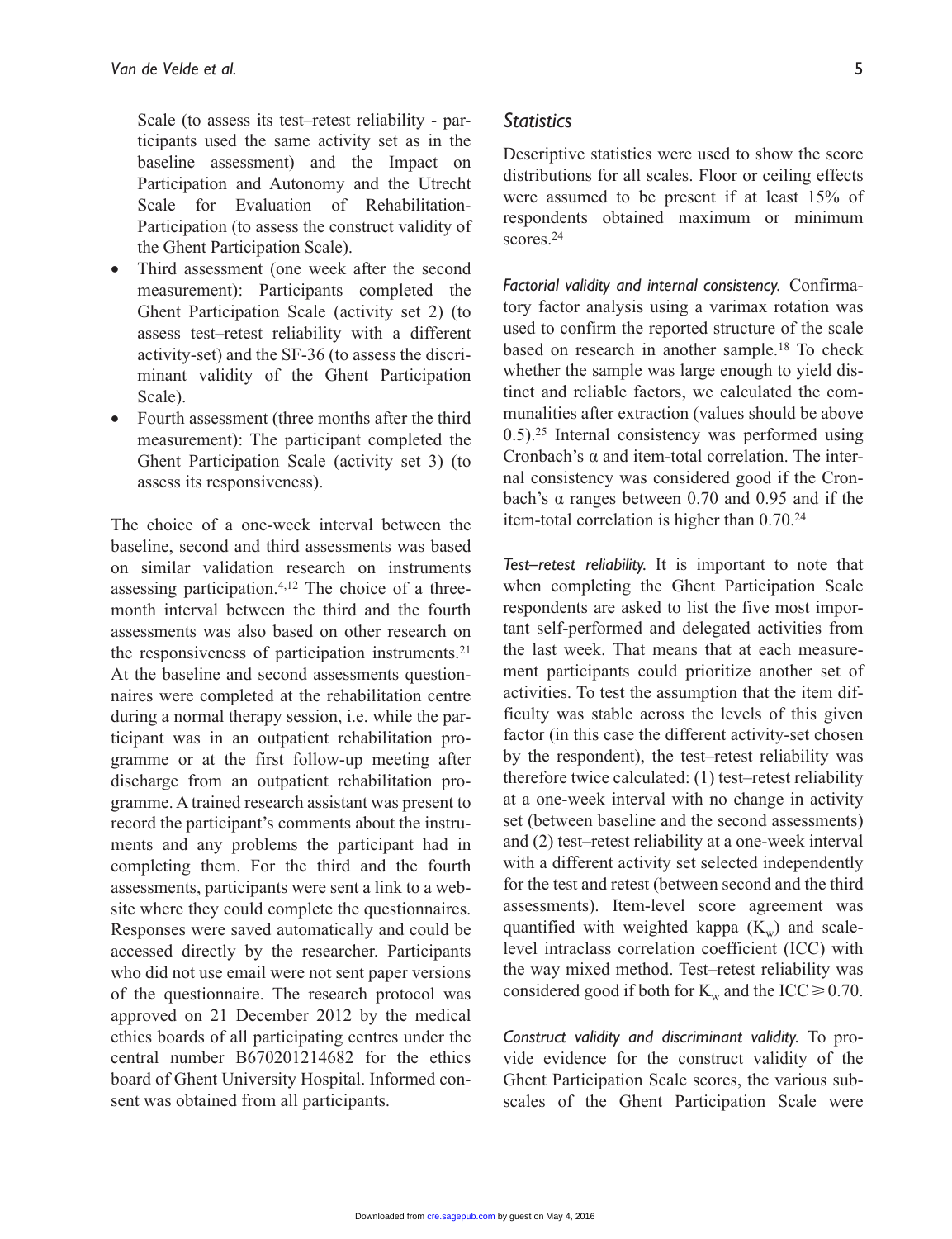Scale (to assess its test–retest reliability - participants used the same activity set as in the baseline assessment) and the Impact on Participation and Autonomy and the Utrecht Scale for Evaluation of Rehabilitation-Participation (to assess the construct validity of the Ghent Participation Scale).

- Third assessment (one week after the second measurement): Participants completed the Ghent Participation Scale (activity set 2) (to assess test–retest reliability with a different activity-set) and the SF-36 (to assess the discriminant validity of the Ghent Participation Scale).
- Fourth assessment (three months after the third measurement): The participant completed the Ghent Participation Scale (activity set 3) (to assess its responsiveness).

The choice of a one-week interval between the baseline, second and third assessments was based on similar validation research on instruments assessing participation.4,12 The choice of a threemonth interval between the third and the fourth assessments was also based on other research on the responsiveness of participation instruments.<sup>21</sup> At the baseline and second assessments questionnaires were completed at the rehabilitation centre during a normal therapy session, i.e. while the participant was in an outpatient rehabilitation programme or at the first follow-up meeting after discharge from an outpatient rehabilitation programme. A trained research assistant was present to record the participant's comments about the instruments and any problems the participant had in completing them. For the third and the fourth assessments, participants were sent a link to a website where they could complete the questionnaires. Responses were saved automatically and could be accessed directly by the researcher. Participants who did not use email were not sent paper versions of the questionnaire. The research protocol was approved on 21 December 2012 by the medical ethics boards of all participating centres under the central number B670201214682 for the ethics board of Ghent University Hospital. Informed consent was obtained from all participants.

## *Statistics*

Descriptive statistics were used to show the score distributions for all scales. Floor or ceiling effects were assumed to be present if at least 15% of respondents obtained maximum or minimum scores.24

*Factorial validity and internal consistency.* Confirmatory factor analysis using a varimax rotation was used to confirm the reported structure of the scale based on research in another sample.18 To check whether the sample was large enough to yield distinct and reliable factors, we calculated the communalities after extraction (values should be above 0.5).25 Internal consistency was performed using Cronbach's  $\alpha$  and item-total correlation. The internal consistency was considered good if the Cronbach's  $\alpha$  ranges between 0.70 and 0.95 and if the item-total correlation is higher than 0.70.24

*Test–retest reliability.* It is important to note that when completing the Ghent Participation Scale respondents are asked to list the five most important self-performed and delegated activities from the last week. That means that at each measurement participants could prioritize another set of activities. To test the assumption that the item difficulty was stable across the levels of this given factor (in this case the different activity-set chosen by the respondent), the test–retest reliability was therefore twice calculated: (1) test–retest reliability at a one-week interval with no change in activity set (between baseline and the second assessments) and (2) test–retest reliability at a one-week interval with a different activity set selected independently for the test and retest (between second and the third assessments). Item-level score agreement was quantified with weighted kappa  $(K_w)$  and scalelevel intraclass correlation coefficient (ICC) with the way mixed method. Test–retest reliability was considered good if both for  $K_w$  and the ICC  $\geq 0.70$ .

*Construct validity and discriminant validity.* To provide evidence for the construct validity of the Ghent Participation Scale scores, the various subscales of the Ghent Participation Scale were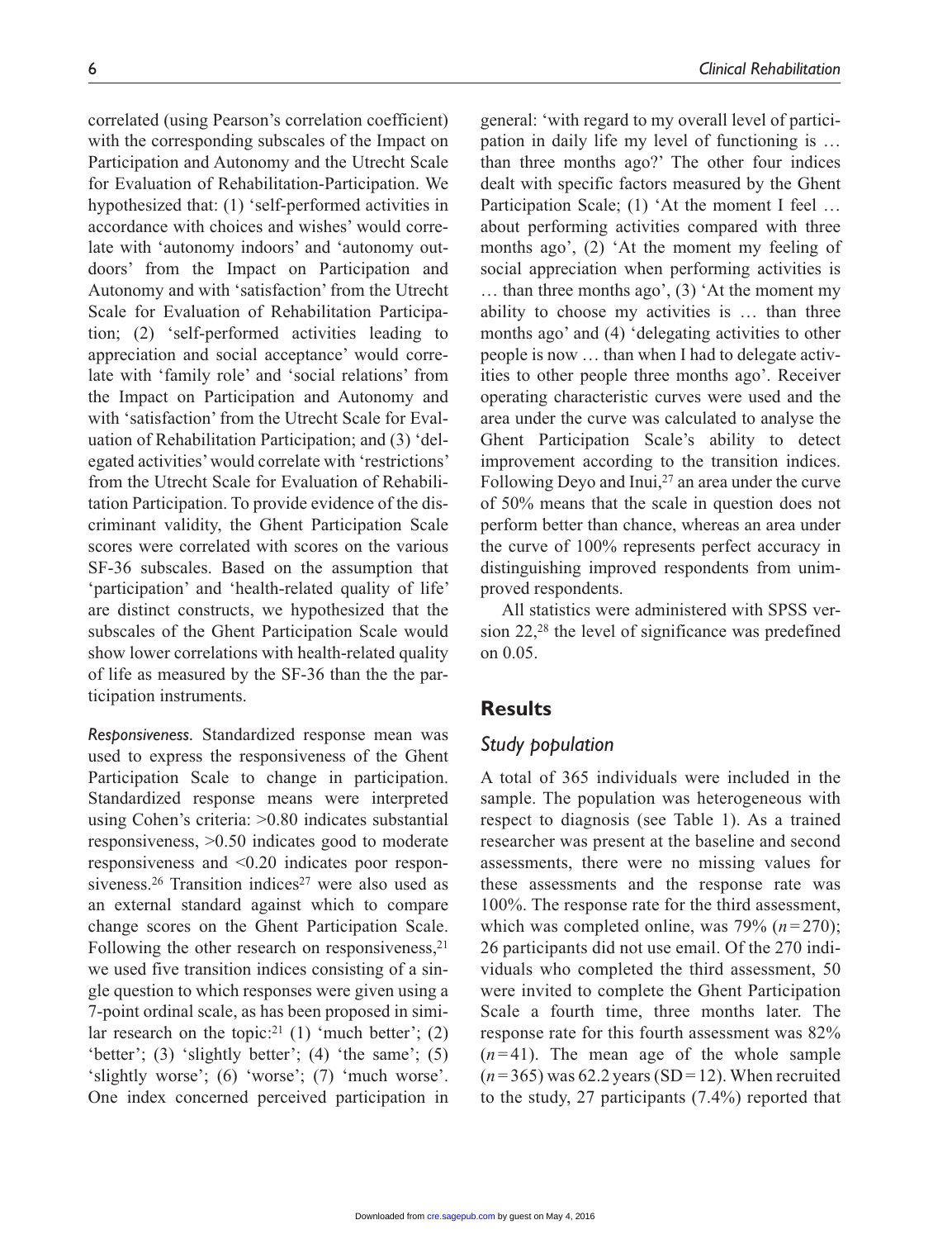correlated (using Pearson's correlation coefficient) with the corresponding subscales of the Impact on Participation and Autonomy and the Utrecht Scale for Evaluation of Rehabilitation-Participation. We hypothesized that: (1) 'self-performed activities in accordance with choices and wishes' would correlate with 'autonomy indoors' and 'autonomy outdoors' from the Impact on Participation and Autonomy and with 'satisfaction' from the Utrecht Scale for Evaluation of Rehabilitation Participation; (2) 'self-performed activities leading to appreciation and social acceptance' would correlate with 'family role' and 'social relations' from the Impact on Participation and Autonomy and with 'satisfaction' from the Utrecht Scale for Evaluation of Rehabilitation Participation; and (3) 'delegated activities' would correlate with 'restrictions' from the Utrecht Scale for Evaluation of Rehabilitation Participation. To provide evidence of the discriminant validity, the Ghent Participation Scale scores were correlated with scores on the various SF-36 subscales. Based on the assumption that 'participation' and 'health-related quality of life' are distinct constructs, we hypothesized that the subscales of the Ghent Participation Scale would show lower correlations with health-related quality of life as measured by the SF-36 than the the participation instruments.

*Responsiveness.* Standardized response mean was used to express the responsiveness of the Ghent Participation Scale to change in participation. Standardized response means were interpreted using Cohen's criteria: >0.80 indicates substantial responsiveness, >0.50 indicates good to moderate responsiveness and <0.20 indicates poor responsiveness.<sup>26</sup> Transition indices<sup>27</sup> were also used as an external standard against which to compare change scores on the Ghent Participation Scale. Following the other research on responsiveness, $2<sup>1</sup>$ we used five transition indices consisting of a single question to which responses were given using a 7-point ordinal scale, as has been proposed in similar research on the topic:<sup>21</sup> (1) 'much better'; (2) 'better'; (3) 'slightly better'; (4) 'the same'; (5) 'slightly worse'; (6) 'worse'; (7) 'much worse'. One index concerned perceived participation in general: 'with regard to my overall level of participation in daily life my level of functioning is … than three months ago?' The other four indices dealt with specific factors measured by the Ghent Participation Scale; (1) 'At the moment I feel ... about performing activities compared with three months ago', (2) 'At the moment my feeling of social appreciation when performing activities is … than three months ago', (3) 'At the moment my ability to choose my activities is … than three months ago' and (4) 'delegating activities to other people is now … than when I had to delegate activities to other people three months ago'. Receiver operating characteristic curves were used and the area under the curve was calculated to analyse the Ghent Participation Scale's ability to detect improvement according to the transition indices. Following Deyo and Inui, $27$  an area under the curve of 50% means that the scale in question does not perform better than chance, whereas an area under the curve of 100% represents perfect accuracy in distinguishing improved respondents from unimproved respondents.

All statistics were administered with SPSS version 22,28 the level of significance was predefined on 0.05.

## **Results**

## *Study population*

A total of 365 individuals were included in the sample. The population was heterogeneous with respect to diagnosis (see Table 1). As a trained researcher was present at the baseline and second assessments, there were no missing values for these assessments and the response rate was 100%. The response rate for the third assessment, which was completed online, was  $79\%$  ( $n=270$ ); 26 participants did not use email. Of the 270 individuals who completed the third assessment, 50 were invited to complete the Ghent Participation Scale a fourth time, three months later. The response rate for this fourth assessment was 82%  $(n=41)$ . The mean age of the whole sample  $(n=365)$  was 62.2 years (SD = 12). When recruited to the study, 27 participants (7.4%) reported that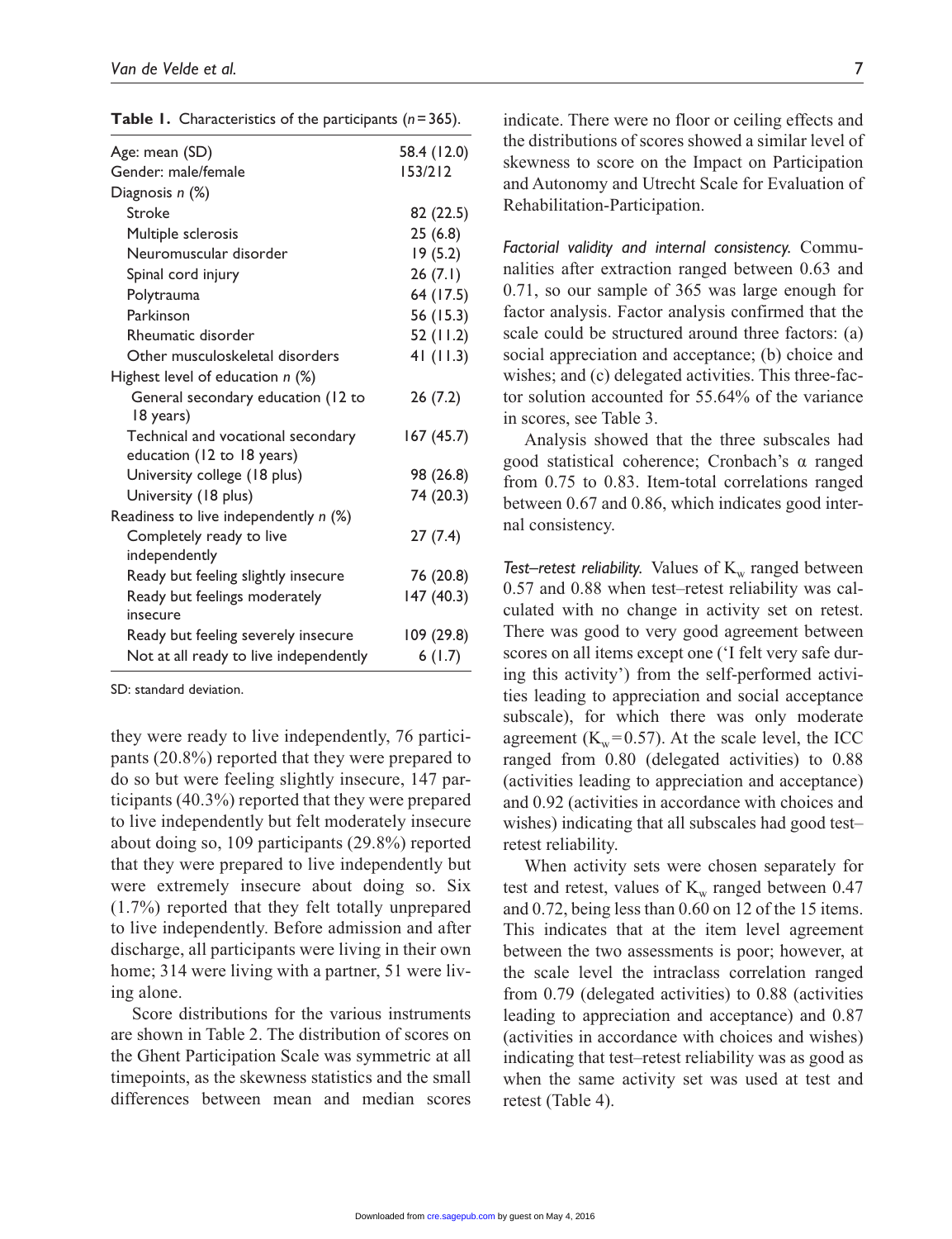| Age: mean (SD)                                                   | 58.4 (12.0) |
|------------------------------------------------------------------|-------------|
| Gender: male/female                                              | 153/212     |
| Diagnosis $n$ $(\%)$                                             |             |
| Stroke                                                           | 82 (22.5)   |
| Multiple sclerosis                                               | 25 (6.8)    |
| Neuromuscular disorder                                           | 19 (5.2)    |
| Spinal cord injury                                               | 26(7.1)     |
| Polytrauma                                                       | 64 (17.5)   |
| Parkinson                                                        | 56 (15.3)   |
| Rheumatic disorder                                               | 52 (11.2)   |
| Other musculoskeletal disorders                                  | 41 $(11.3)$ |
| Highest level of education $n$ (%)                               |             |
| General secondary education (12 to<br>18 years)                  | 26 (7.2)    |
| Technical and vocational secondary<br>education (12 to 18 years) | 167 (45.7)  |
| University college (18 plus)                                     | 98 (26.8)   |
| University (18 plus)                                             | 74 (20.3)   |
| Readiness to live independently n (%)                            |             |
| Completely ready to live<br>independently                        | 27(7.4)     |
| Ready but feeling slightly insecure                              | 76 (20.8)   |
| Ready but feelings moderately<br>insecure                        | 147 (40.3)  |
| Ready but feeling severely insecure                              | 109 (29.8)  |
| Not at all ready to live independently                           | 6(1.7)      |

**Table 1.** Characteristics of the participants (*n*=365).

SD: standard deviation.

they were ready to live independently, 76 participants (20.8%) reported that they were prepared to do so but were feeling slightly insecure, 147 participants (40.3%) reported that they were prepared to live independently but felt moderately insecure about doing so, 109 participants (29.8%) reported that they were prepared to live independently but were extremely insecure about doing so. Six (1.7%) reported that they felt totally unprepared to live independently. Before admission and after discharge, all participants were living in their own home; 314 were living with a partner, 51 were living alone.

Score distributions for the various instruments are shown in Table 2. The distribution of scores on the Ghent Participation Scale was symmetric at all timepoints, as the skewness statistics and the small differences between mean and median scores indicate. There were no floor or ceiling effects and the distributions of scores showed a similar level of skewness to score on the Impact on Participation and Autonomy and Utrecht Scale for Evaluation of Rehabilitation-Participation.

*Factorial validity and internal consistency.* Communalities after extraction ranged between 0.63 and 0.71, so our sample of 365 was large enough for factor analysis. Factor analysis confirmed that the scale could be structured around three factors: (a) social appreciation and acceptance; (b) choice and wishes; and (c) delegated activities. This three-factor solution accounted for 55.64% of the variance in scores, see Table 3.

Analysis showed that the three subscales had good statistical coherence; Cronbach's α ranged from 0.75 to 0.83. Item-total correlations ranged between 0.67 and 0.86, which indicates good internal consistency.

*Test–retest reliability.* Values of  $K_w$  ranged between 0.57 and 0.88 when test–retest reliability was calculated with no change in activity set on retest. There was good to very good agreement between scores on all items except one ('I felt very safe during this activity') from the self-performed activities leading to appreciation and social acceptance subscale), for which there was only moderate agreement ( $K_w = 0.57$ ). At the scale level, the ICC ranged from 0.80 (delegated activities) to 0.88 (activities leading to appreciation and acceptance) and 0.92 (activities in accordance with choices and wishes) indicating that all subscales had good test– retest reliability.

When activity sets were chosen separately for test and retest, values of  $K_w$  ranged between 0.47 and 0.72, being less than 0.60 on 12 of the 15 items. This indicates that at the item level agreement between the two assessments is poor; however, at the scale level the intraclass correlation ranged from 0.79 (delegated activities) to 0.88 (activities leading to appreciation and acceptance) and 0.87 (activities in accordance with choices and wishes) indicating that test–retest reliability was as good as when the same activity set was used at test and retest (Table 4).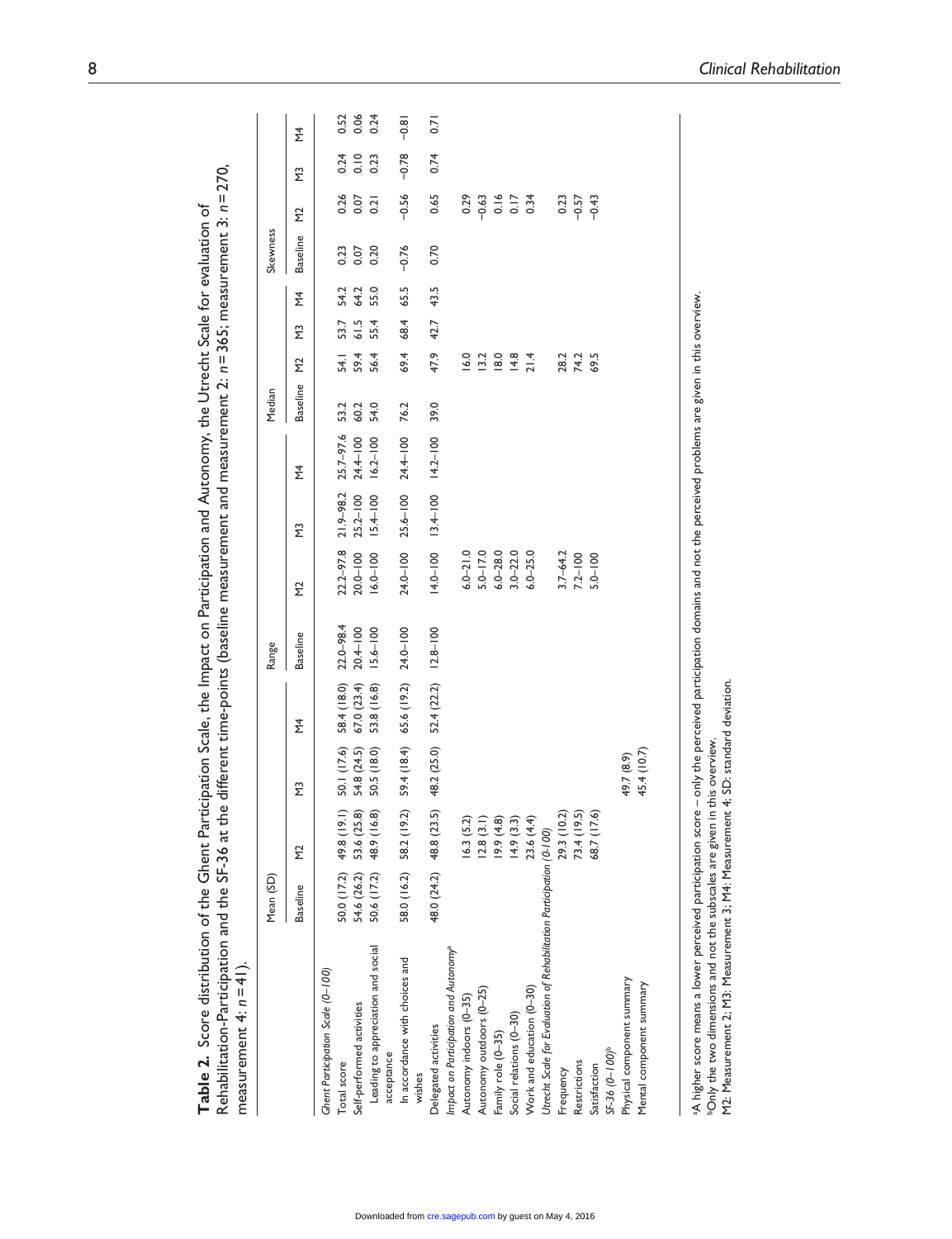| $25.7 - 97.6$<br>$24.4 - 100$<br>$16.2 - 100$<br>$24.4 - 100$<br>$14.2 - 100$<br>Σ<br>$21.9 - 98.2$<br>$25.2 - 100$<br>$15.4 - 100$<br>$13.4 - 100$<br>$25.6 - 100$<br>$\widetilde{\Xi}$<br>$22.2 - 97.8$<br>$20.0 - 100$<br>$16.0 - 100$<br>$6.0 - 21.0$<br>$24.0 - 100$<br>$14.0 - 100$<br>$5.0 - 17.0$<br>$6.0 - 28.0$<br>$3.0 - 22.0$<br>$6.0 - 25.0$<br>$\Sigma$<br>$22.0 - 98.4$<br>$20.4 - 100$<br>$15.6 - 100$<br>$24.0 - 100$<br>$12.8 - 100$<br><b>Baseline</b><br>67.0(23.4)<br>65.6 (19.2)<br>52.4 (22.2)<br>58.4 (18.0)<br>53.8 (16.8)<br>$\overline{\Sigma}$<br>59.4(18.4)<br>54.8 (24.5)<br>48.2 (25.0)<br>50.1 (17.6)<br>50.5 (18.0)<br>$\widetilde{\Xi}$<br>49.8 (19.1)<br>53.6 (25.8)<br>48.9 (16.8)<br>58.2 (19.2)<br>48.8 (23.5)<br>16.3(5.2)<br>23.6(4.4)<br>12.8(3.1)<br>$(8.9)$ (4.8)<br>14.9(3.3)<br>Utrecht Scale for Evaluation of Rehabilitation Participation (0-100)<br>$\Sigma$<br>(26.2)<br>(16.2)<br>(17.2)<br>(24.2)<br>(17.2)<br><b>Baseline</b><br>50.0<br>54.6<br>50.6<br>58.0<br>48.0<br>Leading to appreciation and social<br>Impact on Participation and Autonomy <sup>s</sup><br>In accordance with choices and<br>Ghent Participation Scale (0-100)<br>Work and education (0-30)<br>Autonomy outdoors (0-25)<br>Autonomy indoors (0-35)<br>Self-performed activities<br>Social relations (0-30)<br>Delegated activities<br>Family role (0-35)<br>acceptance<br>Total score<br>wishes |                 | Median   |               |      | Skewness        |                            |                  |                  |
|-------------------------------------------------------------------------------------------------------------------------------------------------------------------------------------------------------------------------------------------------------------------------------------------------------------------------------------------------------------------------------------------------------------------------------------------------------------------------------------------------------------------------------------------------------------------------------------------------------------------------------------------------------------------------------------------------------------------------------------------------------------------------------------------------------------------------------------------------------------------------------------------------------------------------------------------------------------------------------------------------------------------------------------------------------------------------------------------------------------------------------------------------------------------------------------------------------------------------------------------------------------------------------------------------------------------------------------------------------------------------------------------------------------------------------|-----------------|----------|---------------|------|-----------------|----------------------------|------------------|------------------|
|                                                                                                                                                                                                                                                                                                                                                                                                                                                                                                                                                                                                                                                                                                                                                                                                                                                                                                                                                                                                                                                                                                                                                                                                                                                                                                                                                                                                                               | <b>Baseline</b> | $\Sigma$ | $\tilde{\Xi}$ | Σ4   | <b>Baseline</b> | $\Sigma$                   | $\tilde{\Sigma}$ | $\frac{4}{5}$    |
|                                                                                                                                                                                                                                                                                                                                                                                                                                                                                                                                                                                                                                                                                                                                                                                                                                                                                                                                                                                                                                                                                                                                                                                                                                                                                                                                                                                                                               |                 |          |               |      |                 |                            |                  |                  |
|                                                                                                                                                                                                                                                                                                                                                                                                                                                                                                                                                                                                                                                                                                                                                                                                                                                                                                                                                                                                                                                                                                                                                                                                                                                                                                                                                                                                                               | 53.2            | 54.1     | 53.7          | 54.2 | 0.23            | 0.26                       | 0.24             | 0.52             |
|                                                                                                                                                                                                                                                                                                                                                                                                                                                                                                                                                                                                                                                                                                                                                                                                                                                                                                                                                                                                                                                                                                                                                                                                                                                                                                                                                                                                                               | 60.2            | 59.4     | 61.5          | 64.2 | 0.07            | 0.07                       | 0.10             | 0.06             |
|                                                                                                                                                                                                                                                                                                                                                                                                                                                                                                                                                                                                                                                                                                                                                                                                                                                                                                                                                                                                                                                                                                                                                                                                                                                                                                                                                                                                                               | 54.0            | 56.4     | 55.4          | 55.0 | 0.20            | 0.21                       | 0.23             | 0.24             |
|                                                                                                                                                                                                                                                                                                                                                                                                                                                                                                                                                                                                                                                                                                                                                                                                                                                                                                                                                                                                                                                                                                                                                                                                                                                                                                                                                                                                                               | 76.2            | 69.4     | 68.4          | 65.5 | $-0.76$         | $-0.56$                    | $-0.78$          | $-0.81$          |
|                                                                                                                                                                                                                                                                                                                                                                                                                                                                                                                                                                                                                                                                                                                                                                                                                                                                                                                                                                                                                                                                                                                                                                                                                                                                                                                                                                                                                               | 39.0            | 47.9     | 42.7          | 43.5 | 0.70            | 0.65                       | 0.74             | $\overline{0.7}$ |
|                                                                                                                                                                                                                                                                                                                                                                                                                                                                                                                                                                                                                                                                                                                                                                                                                                                                                                                                                                                                                                                                                                                                                                                                                                                                                                                                                                                                                               |                 |          |               |      |                 |                            |                  |                  |
|                                                                                                                                                                                                                                                                                                                                                                                                                                                                                                                                                                                                                                                                                                                                                                                                                                                                                                                                                                                                                                                                                                                                                                                                                                                                                                                                                                                                                               |                 | 16.0     |               |      |                 | 0.29                       |                  |                  |
|                                                                                                                                                                                                                                                                                                                                                                                                                                                                                                                                                                                                                                                                                                                                                                                                                                                                                                                                                                                                                                                                                                                                                                                                                                                                                                                                                                                                                               |                 | 13.2     |               |      |                 | $-0.63$                    |                  |                  |
|                                                                                                                                                                                                                                                                                                                                                                                                                                                                                                                                                                                                                                                                                                                                                                                                                                                                                                                                                                                                                                                                                                                                                                                                                                                                                                                                                                                                                               |                 | 18.0     |               |      |                 | $0.16$<br>$0.17$<br>$0.34$ |                  |                  |
|                                                                                                                                                                                                                                                                                                                                                                                                                                                                                                                                                                                                                                                                                                                                                                                                                                                                                                                                                                                                                                                                                                                                                                                                                                                                                                                                                                                                                               |                 | 14.8     |               |      |                 |                            |                  |                  |
|                                                                                                                                                                                                                                                                                                                                                                                                                                                                                                                                                                                                                                                                                                                                                                                                                                                                                                                                                                                                                                                                                                                                                                                                                                                                                                                                                                                                                               |                 | 21.4     |               |      |                 |                            |                  |                  |
|                                                                                                                                                                                                                                                                                                                                                                                                                                                                                                                                                                                                                                                                                                                                                                                                                                                                                                                                                                                                                                                                                                                                                                                                                                                                                                                                                                                                                               |                 |          |               |      |                 |                            |                  |                  |
| $3.7 - 64.2$<br>29.3 (10.2)<br>Frequency                                                                                                                                                                                                                                                                                                                                                                                                                                                                                                                                                                                                                                                                                                                                                                                                                                                                                                                                                                                                                                                                                                                                                                                                                                                                                                                                                                                      |                 | 28.2     |               |      |                 | 0.23                       |                  |                  |
| $7.2 - 100$<br>73.4 (19.5)<br>Restrictions                                                                                                                                                                                                                                                                                                                                                                                                                                                                                                                                                                                                                                                                                                                                                                                                                                                                                                                                                                                                                                                                                                                                                                                                                                                                                                                                                                                    |                 | 74.2     |               |      |                 |                            |                  |                  |
| $5.0 - 100$<br>68.7 (17.6)<br>Satisfaction                                                                                                                                                                                                                                                                                                                                                                                                                                                                                                                                                                                                                                                                                                                                                                                                                                                                                                                                                                                                                                                                                                                                                                                                                                                                                                                                                                                    |                 | 69.5     |               |      |                 | $-0.43$                    |                  |                  |
| SF-36 (0-100) <sup>b</sup>                                                                                                                                                                                                                                                                                                                                                                                                                                                                                                                                                                                                                                                                                                                                                                                                                                                                                                                                                                                                                                                                                                                                                                                                                                                                                                                                                                                                    |                 |          |               |      |                 |                            |                  |                  |
| 49.7 (8.9)<br>Physical component summary                                                                                                                                                                                                                                                                                                                                                                                                                                                                                                                                                                                                                                                                                                                                                                                                                                                                                                                                                                                                                                                                                                                                                                                                                                                                                                                                                                                      |                 |          |               |      |                 |                            |                  |                  |
| 45.4 (10.7)<br>Mental component summary                                                                                                                                                                                                                                                                                                                                                                                                                                                                                                                                                                                                                                                                                                                                                                                                                                                                                                                                                                                                                                                                                                                                                                                                                                                                                                                                                                                       |                 |          |               |      |                 |                            |                  |                  |

8 *Clinical Rehabilitation*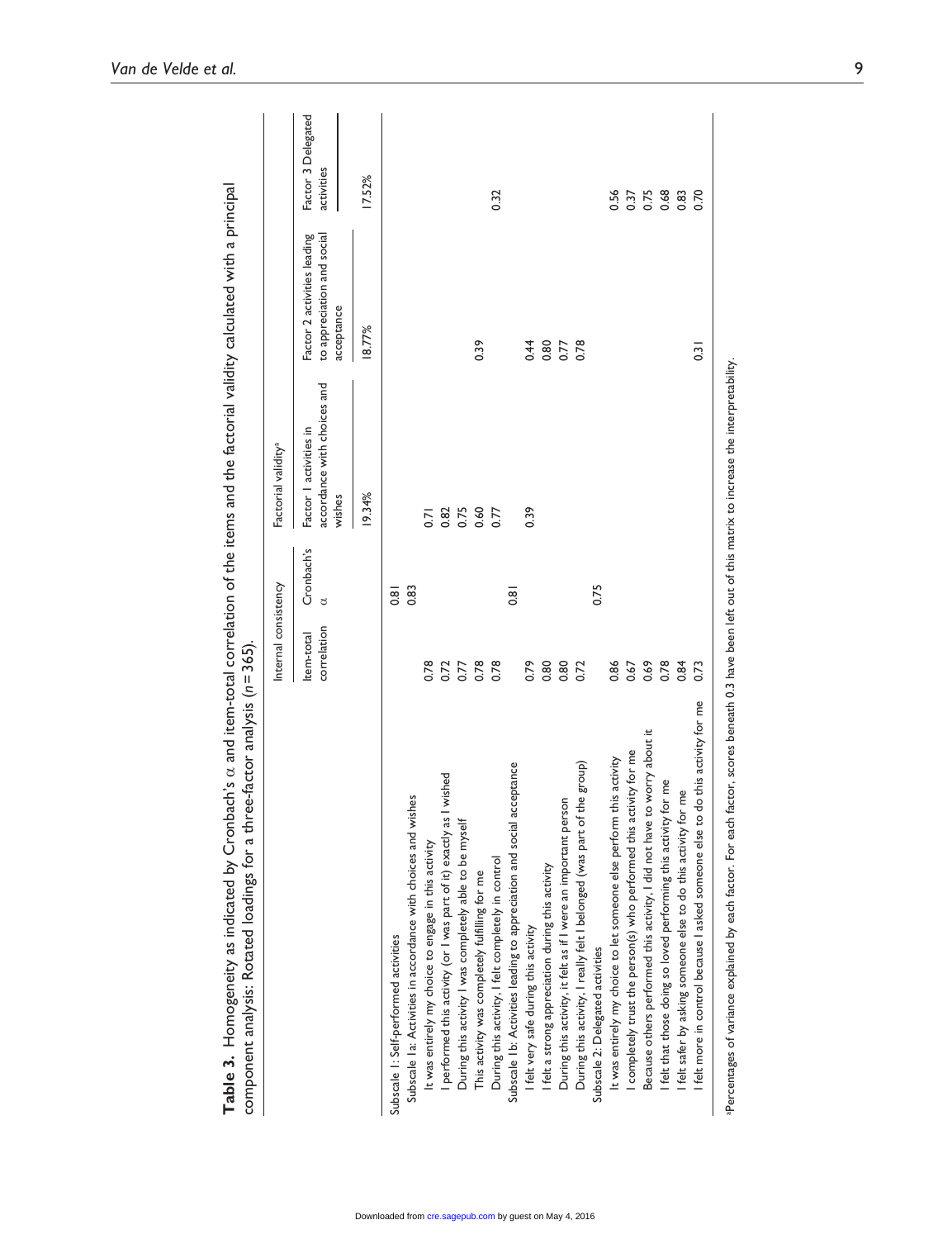|                                                                                 | Internal consistency     |                 | Factorial validity <sup>a</sup>                                 |                                                                         |                                  |
|---------------------------------------------------------------------------------|--------------------------|-----------------|-----------------------------------------------------------------|-------------------------------------------------------------------------|----------------------------------|
|                                                                                 | correlation<br>tem-total | Cronbach's<br>ರ | accordance with choices and<br>Factor I activities in<br>wishes | to appreciation and social<br>Factor 2 activities leading<br>acceptance | Factor 3 Delegated<br>activities |
|                                                                                 |                          |                 | 19.34%                                                          | 18.77%                                                                  | 17.52%                           |
| Subscale I: Self-performed activities                                           |                          | $\overline{8}$  |                                                                 |                                                                         |                                  |
| Subscale Ia: Activities in accordance with choices and wishes                   |                          | 0.83            |                                                                 |                                                                         |                                  |
| It was entirely my choice to engage in this activity                            | 0.78                     |                 | 0.71                                                            |                                                                         |                                  |
| performed this activity (or I was part of it) exactly as I wished               | 0.72                     |                 | 0.82                                                            |                                                                         |                                  |
| During this activity I was completely able to be myself                         | 0.77                     |                 | 0.75                                                            |                                                                         |                                  |
| for me<br>This activity was completely fulfilling                               | 0.78                     |                 | 0.60                                                            | 0.39                                                                    |                                  |
| During this activity, I felt completely in control                              | 0.78                     |                 | 0.77                                                            |                                                                         | 0.32                             |
| Subscale Ib: Activities leading to appreciation and social acceptance           |                          | $\overline{a}$  |                                                                 |                                                                         |                                  |
| I felt very safe during this activity                                           | 0.79                     |                 | 0.39                                                            | 0.44                                                                    |                                  |
| I felt a strong appreciation during this activity                               | 0.80                     |                 |                                                                 | 0.80                                                                    |                                  |
| an important person<br>During this activity, it felt as if I were               | 0.80                     |                 |                                                                 | 0.77                                                                    |                                  |
| During this activity, I really felt I belonged (was part of the group)          | 0.72                     |                 |                                                                 | 0.78                                                                    |                                  |
| Subscale 2: Delegated activities                                                |                          | 0.75            |                                                                 |                                                                         |                                  |
| It was entirely my choice to let someone else perform this activity             | 0.86                     |                 |                                                                 |                                                                         | 0.56                             |
| I completely trust the person(s) who performed this activity for me             | 0.67                     |                 |                                                                 |                                                                         | 0.37                             |
| Because others performed this activity, I did not have to worry about it        | 0.69                     |                 |                                                                 |                                                                         | 0.75                             |
| felt that those doing so loved performing this activity for me                  | 0.78                     |                 |                                                                 |                                                                         | 0.68                             |
| do this activity for me<br>felt safer by asking someone else to                 | 0.84                     |                 |                                                                 |                                                                         | 0.83                             |
| someone else to do this activity for me<br>felt more in control because I asked | 0.73                     |                 |                                                                 | $\overline{0.3}$                                                        | 0.70                             |

*Van de Velde et al.*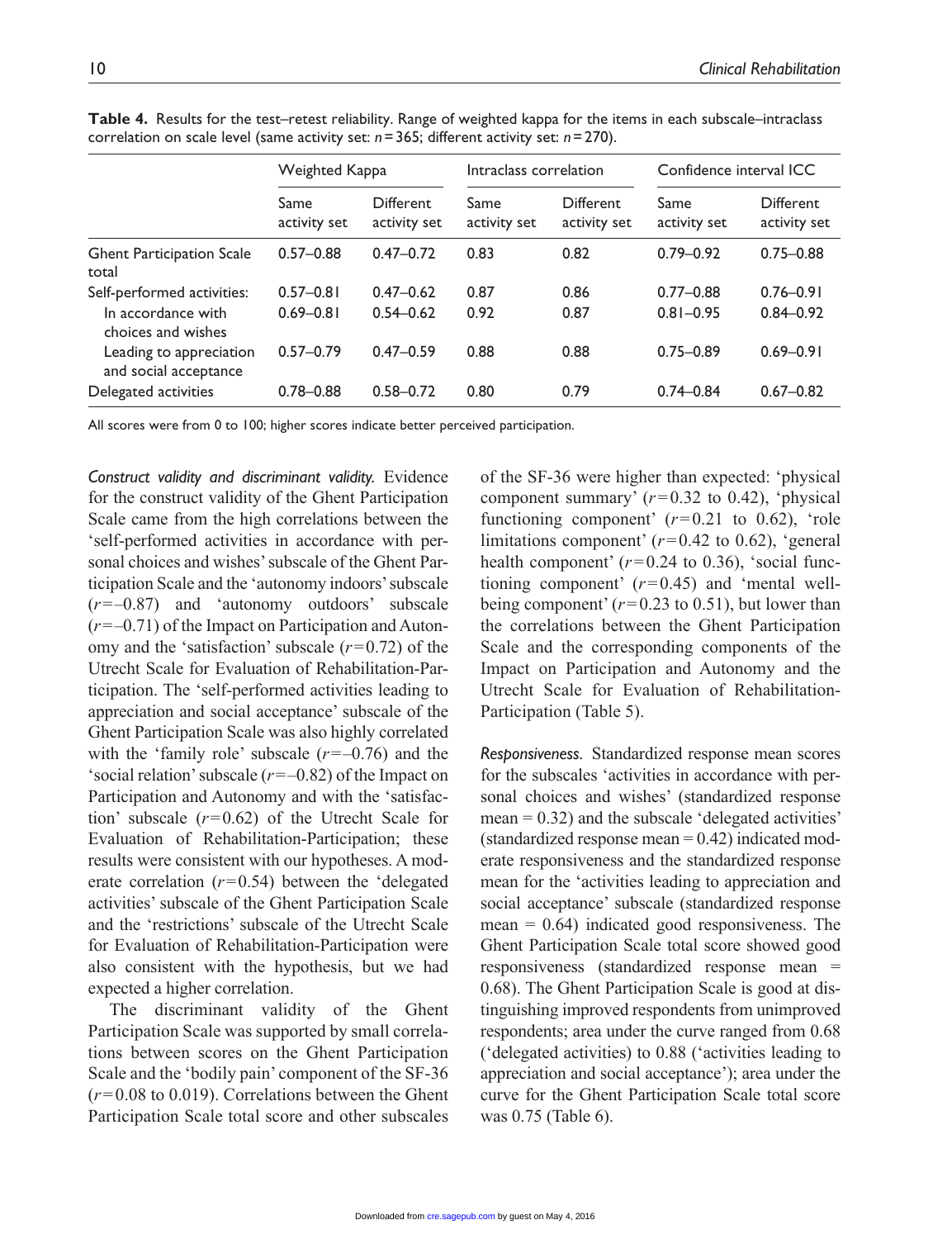|                                                  | Weighted Kappa       |                                  | Intraclass correlation |                                  | Confidence interval ICC |                                  |
|--------------------------------------------------|----------------------|----------------------------------|------------------------|----------------------------------|-------------------------|----------------------------------|
|                                                  | Same<br>activity set | <b>Different</b><br>activity set | Same<br>activity set   | <b>Different</b><br>activity set | Same<br>activity set    | <b>Different</b><br>activity set |
| <b>Ghent Participation Scale</b><br>total        | $0.57 - 0.88$        | $0.47 - 0.72$                    | 0.83                   | 0.82                             | $0.79 - 0.92$           | $0.75 - 0.88$                    |
| Self-performed activities:                       | $0.57 - 0.81$        | $0.47 - 0.62$                    | 0.87                   | 0.86                             | $0.77 - 0.88$           | $0.76 - 0.91$                    |
| In accordance with<br>choices and wishes         | $0.69 - 0.81$        | $0.54 - 0.62$                    | 0.92                   | 0.87                             | $0.81 - 0.95$           | $0.84 - 0.92$                    |
| Leading to appreciation<br>and social acceptance | $0.57 - 0.79$        | $0.47 - 0.59$                    | 0.88                   | 0.88                             | $0.75 - 0.89$           | $0.69 - 0.91$                    |
| Delegated activities                             | $0.78 - 0.88$        | $0.58 - 0.72$                    | 0.80                   | 0.79                             | $0.74 - 0.84$           | $0.67 - 0.82$                    |

**Table 4.** Results for the test–retest reliability. Range of weighted kappa for the items in each subscale–intraclass correlation on scale level (same activity set: *n*=365; different activity set: *n*=270).

All scores were from 0 to 100; higher scores indicate better perceived participation.

*Construct validity and discriminant validity.* Evidence for the construct validity of the Ghent Participation Scale came from the high correlations between the 'self-performed activities in accordance with personal choices and wishes' subscale of the Ghent Participation Scale and the 'autonomy indoors' subscale (*r*=–0.87) and 'autonomy outdoors' subscale (*r*=–0.71) of the Impact on Participation and Autonomy and the 'satisfaction' subscale (*r*=0.72) of the Utrecht Scale for Evaluation of Rehabilitation-Participation. The 'self-performed activities leading to appreciation and social acceptance' subscale of the Ghent Participation Scale was also highly correlated with the 'family role' subscale (*r*=–0.76) and the 'social relation' subscale (*r*=–0.82) of the Impact on Participation and Autonomy and with the 'satisfaction' subscale (*r*=0.62) of the Utrecht Scale for Evaluation of Rehabilitation-Participation; these results were consistent with our hypotheses. A moderate correlation  $(r=0.54)$  between the 'delegated activities' subscale of the Ghent Participation Scale and the 'restrictions' subscale of the Utrecht Scale for Evaluation of Rehabilitation-Participation were also consistent with the hypothesis, but we had expected a higher correlation.

The discriminant validity of the Ghent Participation Scale was supported by small correlations between scores on the Ghent Participation Scale and the 'bodily pain' component of the SF-36 (*r*=0.08 to 0.019). Correlations between the Ghent Participation Scale total score and other subscales of the SF-36 were higher than expected: 'physical component summary'  $(r=0.32$  to 0.42), 'physical functioning component'  $(r=0.21 \text{ to } 0.62)$ , 'role limitations component'  $(r=0.42 \text{ to } 0.62)$ , 'general' health component'  $(r=0.24 \text{ to } 0.36)$ , 'social functioning component' (*r*=0.45) and 'mental wellbeing component'  $(r=0.23 \text{ to } 0.51)$ , but lower than the correlations between the Ghent Participation Scale and the corresponding components of the Impact on Participation and Autonomy and the Utrecht Scale for Evaluation of Rehabilitation-Participation (Table 5).

*Responsiveness.* Standardized response mean scores for the subscales 'activities in accordance with personal choices and wishes' (standardized response  $mean = 0.32$ ) and the subscale 'delegated activities' (standardized response mean = 0.42) indicated moderate responsiveness and the standardized response mean for the 'activities leading to appreciation and social acceptance' subscale (standardized response  $mean = 0.64$ ) indicated good responsiveness. The Ghent Participation Scale total score showed good responsiveness (standardized response mean = 0.68). The Ghent Participation Scale is good at distinguishing improved respondents from unimproved respondents; area under the curve ranged from 0.68 ('delegated activities) to 0.88 ('activities leading to appreciation and social acceptance'); area under the curve for the Ghent Participation Scale total score was 0.75 (Table 6).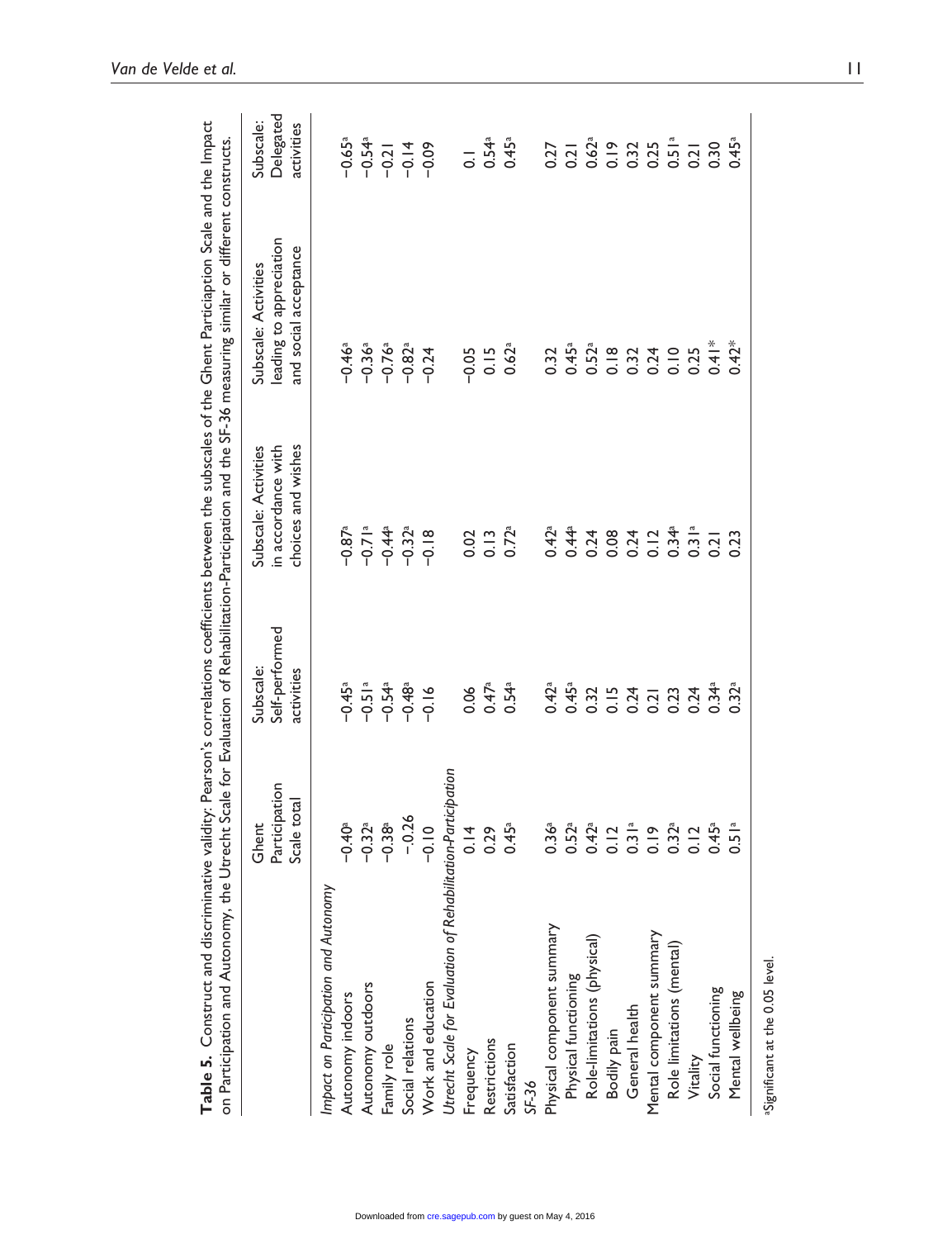|                                                              | Ghent                                                   | Subscale:                                    | Subscale: Activities                                                 | Subscale: Activities    | Subscale:                                                                                              |
|--------------------------------------------------------------|---------------------------------------------------------|----------------------------------------------|----------------------------------------------------------------------|-------------------------|--------------------------------------------------------------------------------------------------------|
|                                                              | Participation                                           | Self-performed                               | in accordance with                                                   | leading to appreciation | Delegated                                                                                              |
|                                                              | Scale total                                             | activities                                   | choices and wishes                                                   | and social acceptance   | activities                                                                                             |
| Impact on Participation and Autonomy                         |                                                         |                                              |                                                                      |                         |                                                                                                        |
| Autonomy indoors                                             |                                                         | $-0.45$ <sup>a</sup>                         |                                                                      | $-0.46a$                | $-0.65$ <sup>a</sup>                                                                                   |
| Autonomy outdoors                                            | $-0.32$ <sup>a</sup><br>$-0.32$ <sup>a</sup><br>$-0.38$ |                                              |                                                                      | $-0.36a$                |                                                                                                        |
| Family role                                                  |                                                         | $-0.51$ <sup>a</sup><br>$-0.54$ <sup>a</sup> | $-0.87$ <sup>a</sup><br>$-0.71$ <sup>a</sup><br>$-0.32$ <sup>a</sup> | $-0.76a$                |                                                                                                        |
| Social relations                                             | $-0.26$                                                 | $-0.48^{\circ}$                              |                                                                      | $-0.82$ <sup>a</sup>    |                                                                                                        |
| Work and education                                           | $-0.10$                                                 | $-0.16$                                      | $-0.18$                                                              | $-0.24$                 | $4 + 7 + 8$<br>$-7 - 7 + 8$<br>$-7 - 7 - 8$                                                            |
| Utrecht Scale for Evaluation of Rehabilitation-Participation |                                                         |                                              |                                                                      |                         |                                                                                                        |
| Frequency                                                    | 0.14                                                    | 0.06                                         |                                                                      | $-0.05$                 | $\overline{\circ}$                                                                                     |
| Restrictions                                                 | 0.29                                                    |                                              | $0.02$<br>$0.72$ <sup>n</sup>                                        | 0.15                    | $0.54$ <sup>a</sup><br>0.45a                                                                           |
| Satisfaction                                                 | $0.45^{\circ}$                                          | $0.47^a$<br>0.54                             |                                                                      | $0.62^{\rm a}$          |                                                                                                        |
| SF-36                                                        |                                                         |                                              |                                                                      |                         |                                                                                                        |
| Physical component summary                                   | 0.36a                                                   | $0.42^{\circ}$                               | $0.42^{\circ}$                                                       | 0.32                    | $\begin{array}{l} 0.27 \\ 0.21 \\ 0.62 \\ 0.61 \\ 0.32 \\ 0.31 \\ 0.51 \\ 0.30 \\ 0.30 \\ \end{array}$ |
| Physical functioning                                         | $0.52$ <sup>a</sup>                                     | 0.45a                                        | 0.44a                                                                | 0.45a                   |                                                                                                        |
| Role-limitations (physical)                                  | $0.42^a$                                                | 0.32                                         | 0.24                                                                 | $0.52^a$                |                                                                                                        |
| Bodily pain                                                  |                                                         |                                              |                                                                      |                         |                                                                                                        |
| General health                                               | $0.12$<br>$0.31$ <sup>a</sup>                           |                                              |                                                                      |                         |                                                                                                        |
| Mental component summary                                     | 0.19                                                    | 0.15<br>0.24<br>0.21<br>0.23                 | 0.34<br>0.012                                                        | 0.18<br>0.32<br>0.0.25  |                                                                                                        |
| Role limitations (mental)                                    | $0.32^{a}$                                              |                                              | 0.34a                                                                |                         |                                                                                                        |
| Vitality                                                     | 0.12                                                    | 0.24                                         | $0.31a$<br>0.21                                                      |                         |                                                                                                        |
| Social functioning                                           | $0.45^{\circ}$                                          | 0.34a                                        |                                                                      | $0.4 +$                 |                                                                                                        |
| Mental wellbeing                                             | 0.51 <sup>a</sup>                                       | $0.32^{n}$                                   | 0.23                                                                 | $0.42*$                 | $0.45^{\circ}$                                                                                         |
| <sup>a</sup> Significant at the 0.05 level.                  |                                                         |                                              |                                                                      |                         |                                                                                                        |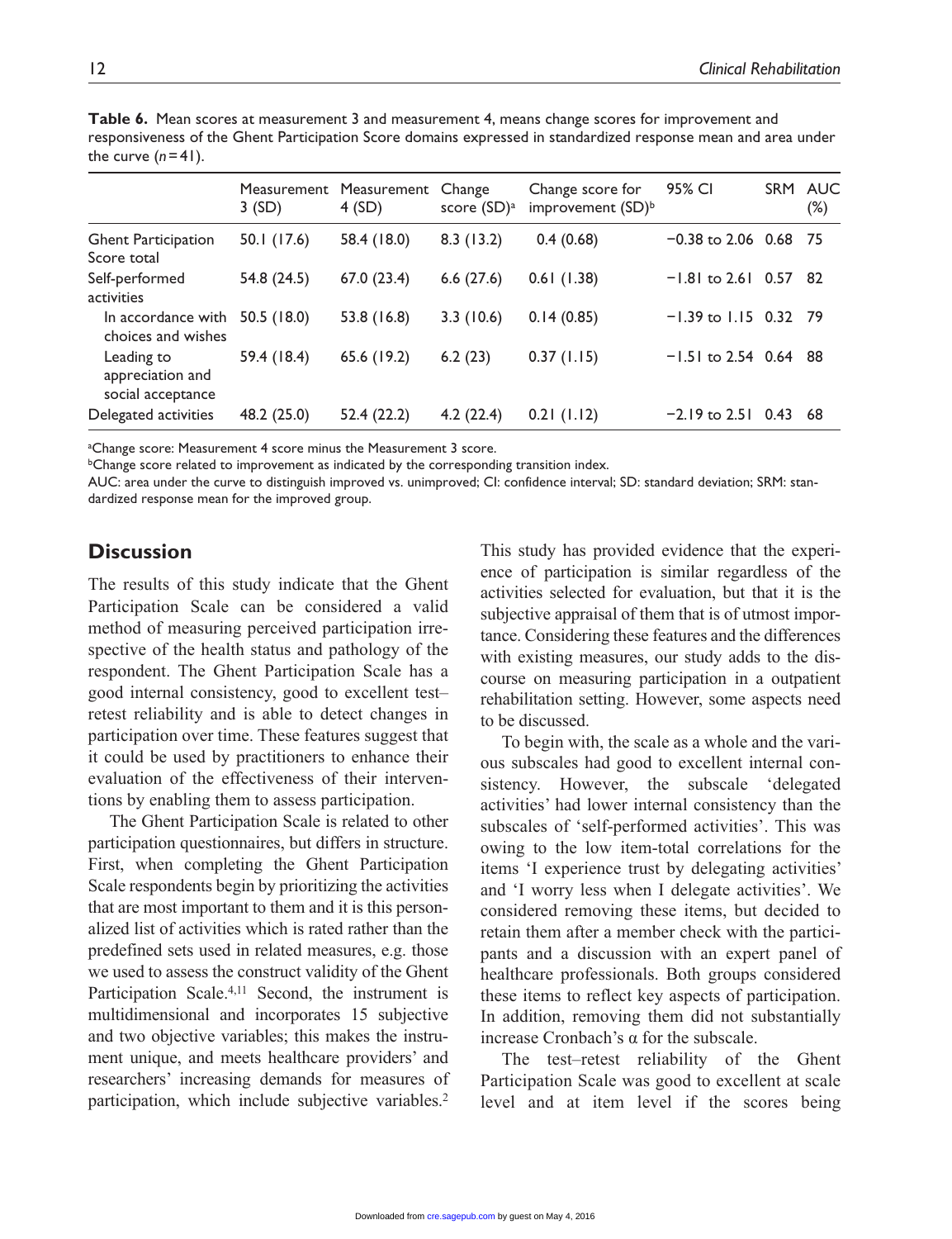|                                                     | Measurement<br>3(SD) | Measurement<br>4(SD) | Change<br>score (SD) <sup>a</sup> | Change score for<br>improvement (SD) <sup>b</sup> | 95% CI                  | SRM AUC<br>(%) |
|-----------------------------------------------------|----------------------|----------------------|-----------------------------------|---------------------------------------------------|-------------------------|----------------|
| <b>Ghent Participation</b><br>Score total           | 50.1 (17.6)          | 58.4 (18.0)          | 8.3(13.2)                         | 0.4(0.68)                                         | $-0.38$ to 2.06 0.68 75 |                |
| Self-performed<br>activities                        | 54.8 (24.5)          | 67.0(23.4)           | 6.6(27.6)                         | 0.61(1.38)                                        | $-1.81$ to 2.61 0.57 82 |                |
| In accordance with<br>choices and wishes            | 50.5(18.0)           | 53.8 (16.8)          | 3.3(10.6)                         | 0.14(0.85)                                        | $-1.39$ to 1.15 0.32 79 |                |
| Leading to<br>appreciation and<br>social acceptance | 59.4 (18.4)          | 65.6 (19.2)          | 6.2(23)                           | 0.37(1.15)                                        | $-1.51$ to 2.54 0.64 88 |                |
| Delegated activities                                | 48.2 (25.0)          | 52.4 (22.2)          | 4.2(22.4)                         | 0.21(1.12)                                        | $-2.19$ to 2.51 0.43    | -68            |

**Table 6.** Mean scores at measurement 3 and measurement 4, means change scores for improvement and responsiveness of the Ghent Participation Score domains expressed in standardized response mean and area under the curve  $(n=41)$ .

a Change score: Measurement 4 score minus the Measurement 3 score.

<sup>b</sup>Change score related to improvement as indicated by the corresponding transition index.

AUC: area under the curve to distinguish improved vs. unimproved; CI: confidence interval; SD: standard deviation; SRM: standardized response mean for the improved group.

## **Discussion**

The results of this study indicate that the Ghent Participation Scale can be considered a valid method of measuring perceived participation irrespective of the health status and pathology of the respondent. The Ghent Participation Scale has a good internal consistency, good to excellent test– retest reliability and is able to detect changes in participation over time. These features suggest that it could be used by practitioners to enhance their evaluation of the effectiveness of their interventions by enabling them to assess participation.

The Ghent Participation Scale is related to other participation questionnaires, but differs in structure. First, when completing the Ghent Participation Scale respondents begin by prioritizing the activities that are most important to them and it is this personalized list of activities which is rated rather than the predefined sets used in related measures, e.g. those we used to assess the construct validity of the Ghent Participation Scale.<sup>4,11</sup> Second, the instrument is multidimensional and incorporates 15 subjective and two objective variables; this makes the instrument unique, and meets healthcare providers' and researchers' increasing demands for measures of participation, which include subjective variables.2 This study has provided evidence that the experience of participation is similar regardless of the activities selected for evaluation, but that it is the subjective appraisal of them that is of utmost importance. Considering these features and the differences with existing measures, our study adds to the discourse on measuring participation in a outpatient rehabilitation setting. However, some aspects need to be discussed.

To begin with, the scale as a whole and the various subscales had good to excellent internal consistency. However, the subscale 'delegated activities' had lower internal consistency than the subscales of 'self-performed activities'. This was owing to the low item-total correlations for the items 'I experience trust by delegating activities' and 'I worry less when I delegate activities'. We considered removing these items, but decided to retain them after a member check with the participants and a discussion with an expert panel of healthcare professionals. Both groups considered these items to reflect key aspects of participation. In addition, removing them did not substantially increase Cronbach's α for the subscale.

The test–retest reliability of the Ghent Participation Scale was good to excellent at scale level and at item level if the scores being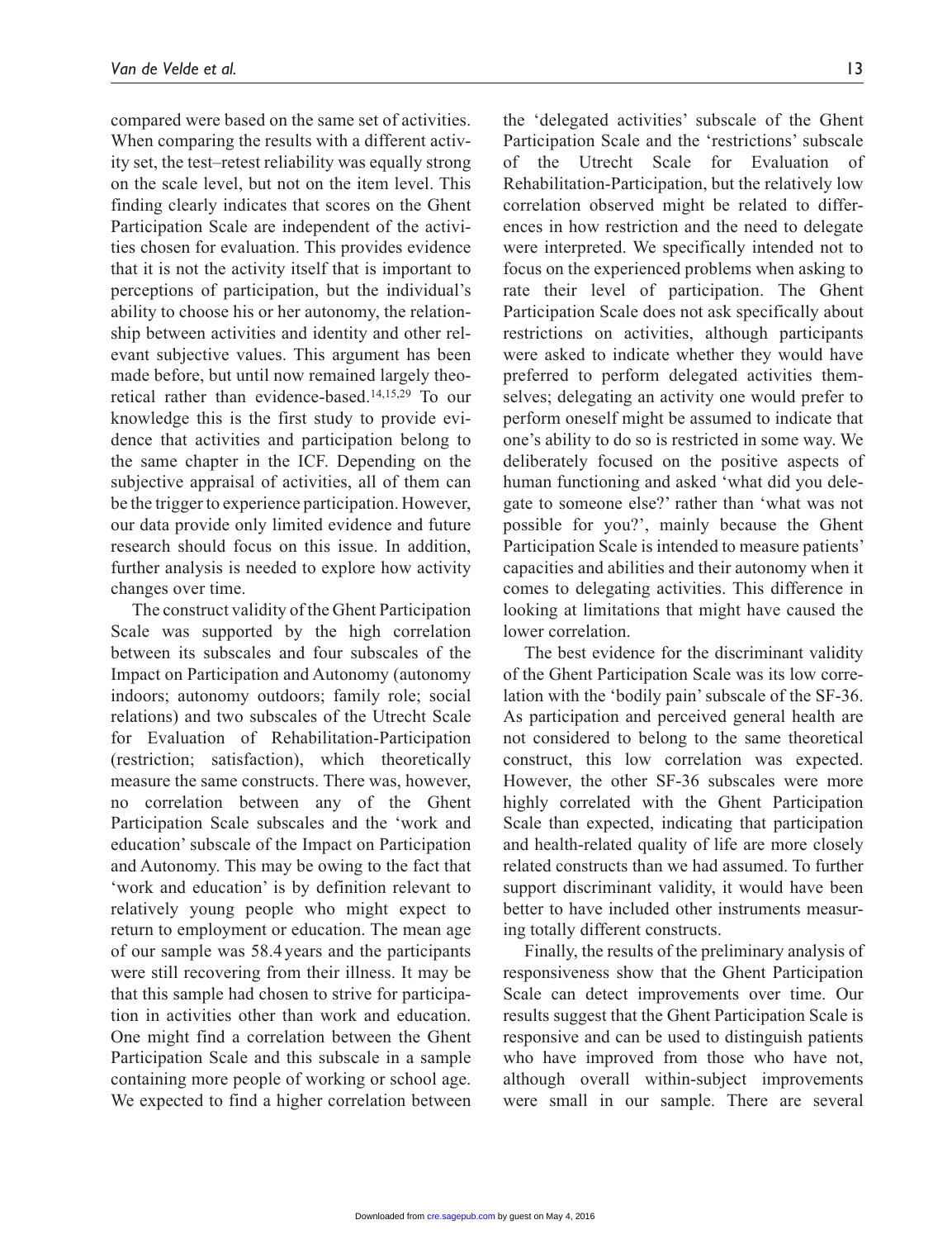compared were based on the same set of activities. When comparing the results with a different activity set, the test–retest reliability was equally strong on the scale level, but not on the item level. This finding clearly indicates that scores on the Ghent Participation Scale are independent of the activities chosen for evaluation. This provides evidence that it is not the activity itself that is important to perceptions of participation, but the individual's ability to choose his or her autonomy, the relationship between activities and identity and other relevant subjective values. This argument has been made before, but until now remained largely theoretical rather than evidence-based.14,15,29 To our knowledge this is the first study to provide evidence that activities and participation belong to the same chapter in the ICF. Depending on the subjective appraisal of activities, all of them can be the trigger to experience participation. However, our data provide only limited evidence and future research should focus on this issue. In addition, further analysis is needed to explore how activity changes over time.

The construct validity of the Ghent Participation Scale was supported by the high correlation between its subscales and four subscales of the Impact on Participation and Autonomy (autonomy indoors; autonomy outdoors; family role; social relations) and two subscales of the Utrecht Scale for Evaluation of Rehabilitation-Participation (restriction; satisfaction), which theoretically measure the same constructs. There was, however, no correlation between any of the Ghent Participation Scale subscales and the 'work and education' subscale of the Impact on Participation and Autonomy. This may be owing to the fact that 'work and education' is by definition relevant to relatively young people who might expect to return to employment or education. The mean age of our sample was 58.4 years and the participants were still recovering from their illness. It may be that this sample had chosen to strive for participation in activities other than work and education. One might find a correlation between the Ghent Participation Scale and this subscale in a sample containing more people of working or school age. We expected to find a higher correlation between

the 'delegated activities' subscale of the Ghent Participation Scale and the 'restrictions' subscale of the Utrecht Scale for Evaluation of Rehabilitation-Participation, but the relatively low correlation observed might be related to differences in how restriction and the need to delegate were interpreted. We specifically intended not to focus on the experienced problems when asking to rate their level of participation. The Ghent Participation Scale does not ask specifically about restrictions on activities, although participants were asked to indicate whether they would have preferred to perform delegated activities themselves; delegating an activity one would prefer to perform oneself might be assumed to indicate that one's ability to do so is restricted in some way. We deliberately focused on the positive aspects of human functioning and asked 'what did you delegate to someone else?' rather than 'what was not possible for you?', mainly because the Ghent Participation Scale is intended to measure patients' capacities and abilities and their autonomy when it comes to delegating activities. This difference in looking at limitations that might have caused the lower correlation.

The best evidence for the discriminant validity of the Ghent Participation Scale was its low correlation with the 'bodily pain' subscale of the SF-36. As participation and perceived general health are not considered to belong to the same theoretical construct, this low correlation was expected. However, the other SF-36 subscales were more highly correlated with the Ghent Participation Scale than expected, indicating that participation and health-related quality of life are more closely related constructs than we had assumed. To further support discriminant validity, it would have been better to have included other instruments measuring totally different constructs.

Finally, the results of the preliminary analysis of responsiveness show that the Ghent Participation Scale can detect improvements over time. Our results suggest that the Ghent Participation Scale is responsive and can be used to distinguish patients who have improved from those who have not, although overall within-subject improvements were small in our sample. There are several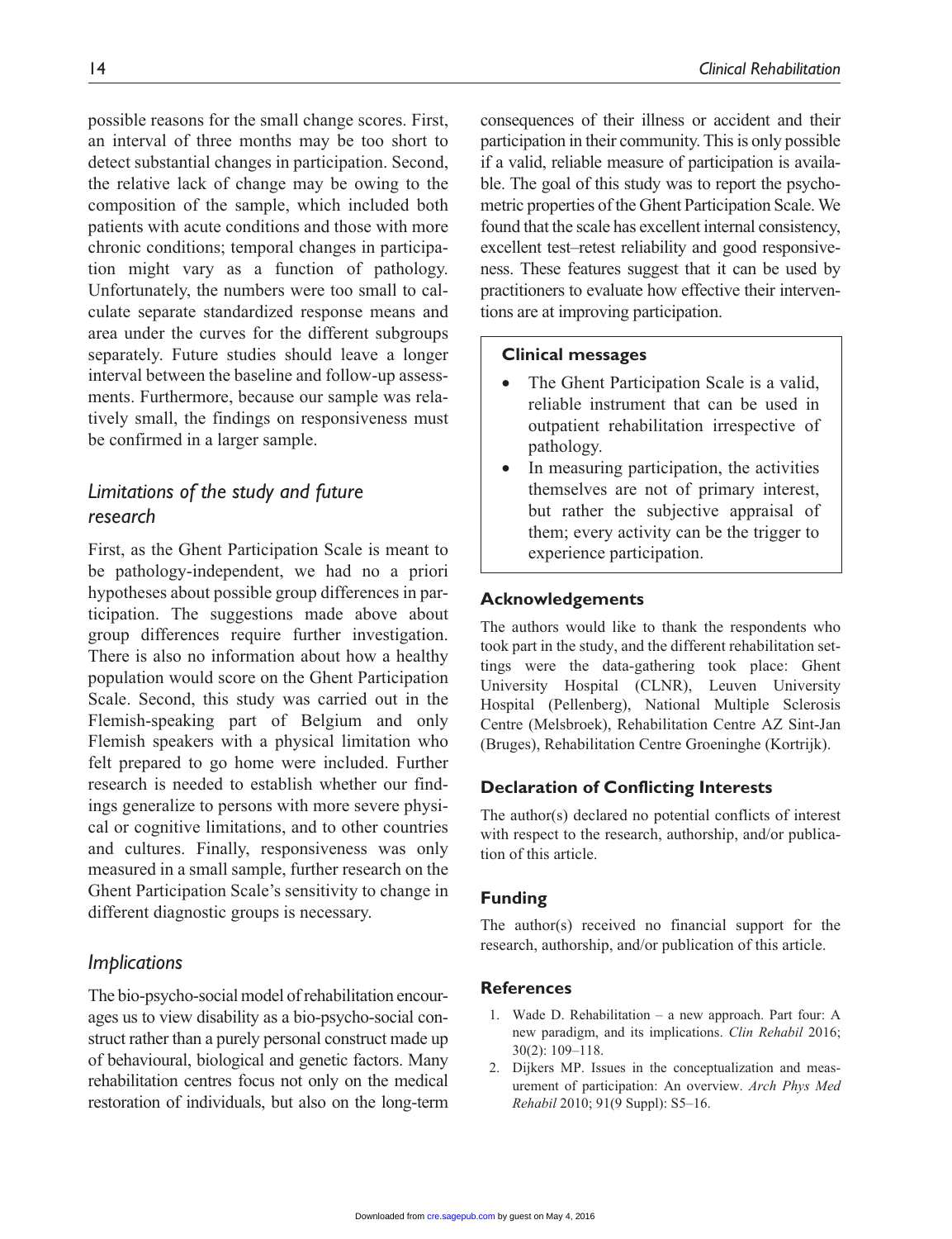possible reasons for the small change scores. First, an interval of three months may be too short to detect substantial changes in participation. Second, the relative lack of change may be owing to the composition of the sample, which included both patients with acute conditions and those with more chronic conditions; temporal changes in participation might vary as a function of pathology. Unfortunately, the numbers were too small to calculate separate standardized response means and area under the curves for the different subgroups separately. Future studies should leave a longer interval between the baseline and follow-up assessments. Furthermore, because our sample was relatively small, the findings on responsiveness must be confirmed in a larger sample.

# *Limitations of the study and future research*

First, as the Ghent Participation Scale is meant to be pathology-independent, we had no a priori hypotheses about possible group differences in participation. The suggestions made above about group differences require further investigation. There is also no information about how a healthy population would score on the Ghent Participation Scale. Second, this study was carried out in the Flemish-speaking part of Belgium and only Flemish speakers with a physical limitation who felt prepared to go home were included. Further research is needed to establish whether our findings generalize to persons with more severe physical or cognitive limitations, and to other countries and cultures. Finally, responsiveness was only measured in a small sample, further research on the Ghent Participation Scale's sensitivity to change in different diagnostic groups is necessary.

## *Implications*

The bio-psycho-social model of rehabilitation encourages us to view disability as a bio-psycho-social construct rather than a purely personal construct made up of behavioural, biological and genetic factors. Many rehabilitation centres focus not only on the medical restoration of individuals, but also on the long-term

consequences of their illness or accident and their participation in their community. This is only possible if a valid, reliable measure of participation is available. The goal of this study was to report the psychometric properties of the Ghent Participation Scale. We found that the scale has excellent internal consistency, excellent test–retest reliability and good responsiveness. These features suggest that it can be used by practitioners to evaluate how effective their interventions are at improving participation.

#### **Clinical messages**

- The Ghent Participation Scale is a valid, reliable instrument that can be used in outpatient rehabilitation irrespective of pathology.
- In measuring participation, the activities themselves are not of primary interest, but rather the subjective appraisal of them; every activity can be the trigger to experience participation.

## **Acknowledgements**

The authors would like to thank the respondents who took part in the study, and the different rehabilitation settings were the data-gathering took place: Ghent University Hospital (CLNR), Leuven University Hospital (Pellenberg), National Multiple Sclerosis Centre (Melsbroek), Rehabilitation Centre AZ Sint-Jan (Bruges), Rehabilitation Centre Groeninghe (Kortrijk).

## **Declaration of Conflicting Interests**

The author(s) declared no potential conflicts of interest with respect to the research, authorship, and/or publication of this article.

## **Funding**

The author(s) received no financial support for the research, authorship, and/or publication of this article.

#### **References**

- 1. Wade D. Rehabilitation a new approach. Part four: A new paradigm, and its implications. *Clin Rehabil* 2016; 30(2): 109–118.
- 2. Dijkers MP. Issues in the conceptualization and measurement of participation: An overview. *Arch Phys Med Rehabil* 2010; 91(9 Suppl): S5–16.